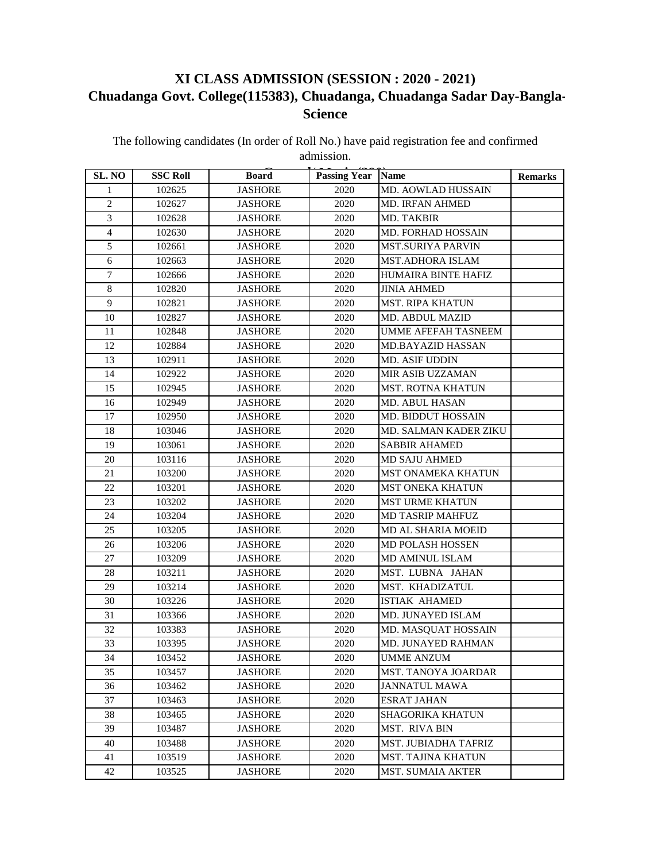## **XI CLASS ADMISSION (SESSION : 2020 - 2021) Chuadanga Govt. College(115383), Chuadanga, Chuadanga Sadar Day-Bangla-Science**

The following candidates (In order of Roll No.) have paid registration fee and confirmed admission.

| SL. NO         | <b>SSC Roll</b> | <b>Board</b>   | <b>Passing Year</b> | <b>Name</b>                | <b>Remarks</b> |
|----------------|-----------------|----------------|---------------------|----------------------------|----------------|
| 1              | 102625          | <b>JASHORE</b> | 2020                | MD. AOWLAD HUSSAIN         |                |
| $\overline{c}$ | 102627          | <b>JASHORE</b> | 2020                | <b>MD. IRFAN AHMED</b>     |                |
| 3              | 102628          | <b>JASHORE</b> | 2020                | MD. TAKBIR                 |                |
| $\overline{4}$ | 102630          | <b>JASHORE</b> | 2020                | MD. FORHAD HOSSAIN         |                |
| 5              | 102661          | <b>JASHORE</b> | 2020                | <b>MST.SURIYA PARVIN</b>   |                |
| 6              | 102663          | <b>JASHORE</b> | 2020                | <b>MST.ADHORA ISLAM</b>    |                |
| $\tau$         | 102666          | <b>JASHORE</b> | 2020                | HUMAIRA BINTE HAFIZ        |                |
| 8              | 102820          | <b>JASHORE</b> | 2020                | <b>JINIA AHMED</b>         |                |
| 9              | 102821          | <b>JASHORE</b> | 2020                | <b>MST. RIPA KHATUN</b>    |                |
| 10             | 102827          | <b>JASHORE</b> | 2020                | MD. ABDUL MAZID            |                |
| 11             | 102848          | <b>JASHORE</b> | 2020                | UMME AFEFAH TASNEEM        |                |
| 12             | 102884          | <b>JASHORE</b> | 2020                | <b>MD.BAYAZID HASSAN</b>   |                |
| 13             | 102911          | <b>JASHORE</b> | 2020                | MD. ASIF UDDIN             |                |
| 14             | 102922          | <b>JASHORE</b> | 2020                | MIR ASIB UZZAMAN           |                |
| 15             | 102945          | <b>JASHORE</b> | 2020                | <b>MST. ROTNA KHATUN</b>   |                |
| 16             | 102949          | <b>JASHORE</b> | 2020                | MD. ABUL HASAN             |                |
| 17             | 102950          | <b>JASHORE</b> | 2020                | <b>MD. BIDDUT HOSSAIN</b>  |                |
| 18             | 103046          | <b>JASHORE</b> | 2020                | MD. SALMAN KADER ZIKU      |                |
| 19             | 103061          | <b>JASHORE</b> | 2020                | <b>SABBIR AHAMED</b>       |                |
| 20             | 103116          | <b>JASHORE</b> | 2020                | <b>MD SAJU AHMED</b>       |                |
| 21             | 103200          | <b>JASHORE</b> | 2020                | MST ONAMEKA KHATUN         |                |
| 22             | 103201          | <b>JASHORE</b> | 2020                | MST ONEKA KHATUN           |                |
| 23             | 103202          | <b>JASHORE</b> | 2020                | <b>MST URME KHATUN</b>     |                |
| 24             | 103204          | <b>JASHORE</b> | 2020                | <b>MD TASRIP MAHFUZ</b>    |                |
| 25             | 103205          | <b>JASHORE</b> | 2020                | MD AL SHARIA MOEID         |                |
| 26             | 103206          | <b>JASHORE</b> | 2020                | MD POLASH HOSSEN           |                |
| 27             | 103209          | <b>JASHORE</b> | 2020                | MD AMINUL ISLAM            |                |
| 28             | 103211          | <b>JASHORE</b> | 2020                | MST. LUBNA JAHAN           |                |
| 29             | 103214          | <b>JASHORE</b> | 2020                | MST. KHADIZATUL            |                |
| 30             | 103226          | <b>JASHORE</b> | 2020                | <b>ISTIAK AHAMED</b>       |                |
| 31             | 103366          | <b>JASHORE</b> | 2020                | MD. JUNAYED ISLAM          |                |
| 32             | 103383          | <b>JASHORE</b> | 2020                | MD. MASQUAT HOSSAIN        |                |
| 33             | 103395          | JASHORE        | 2020                | MD. JUNAYED RAHMAN         |                |
| 34             | 103452          | <b>JASHORE</b> | 2020                | <b>UMME ANZUM</b>          |                |
| 35             | 103457          | <b>JASHORE</b> | 2020                | <b>MST. TANOYA JOARDAR</b> |                |
| 36             | 103462          | <b>JASHORE</b> | 2020                | <b>JANNATUL MAWA</b>       |                |
| 37             | 103463          | <b>JASHORE</b> | 2020                | <b>ESRAT JAHAN</b>         |                |
| 38             | 103465          | <b>JASHORE</b> | 2020                | SHAGORIKA KHATUN           |                |
| 39             | 103487          | <b>JASHORE</b> | 2020                | MST. RIVA BIN              |                |
| 40             | 103488          | <b>JASHORE</b> | 2020                | MST. JUBIADHA TAFRIZ       |                |
| 41             | 103519          | <b>JASHORE</b> | 2020                | <b>MST. TAJINA KHATUN</b>  |                |
| 42             | 103525          | <b>JASHORE</b> | 2020                | <b>MST. SUMAIA AKTER</b>   |                |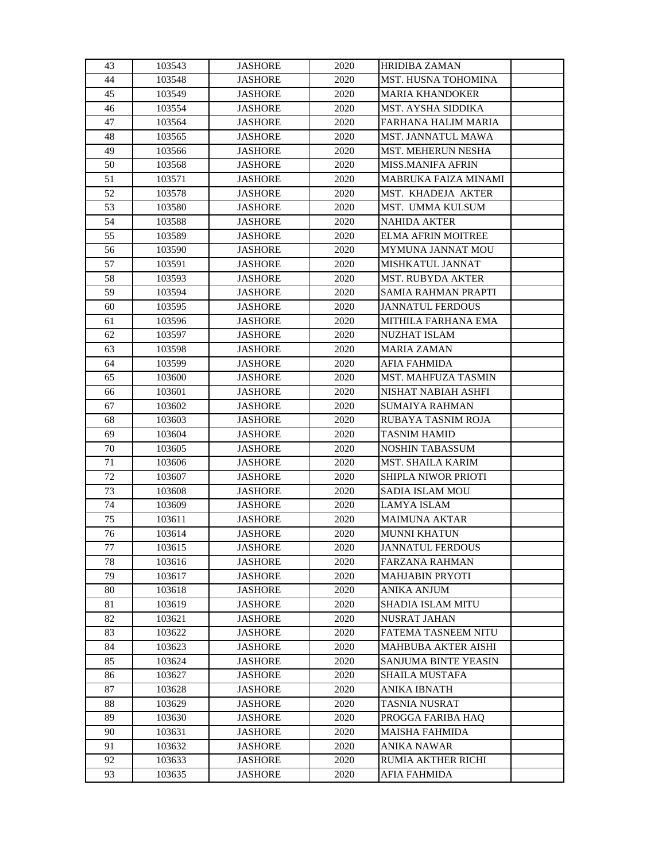| 43 | 103543 | <b>JASHORE</b> | 2020 | <b>HRIDIBA ZAMAN</b>        |  |
|----|--------|----------------|------|-----------------------------|--|
| 44 | 103548 | <b>JASHORE</b> | 2020 | <b>MST. HUSNA TOHOMINA</b>  |  |
| 45 | 103549 | <b>JASHORE</b> | 2020 | <b>MARIA KHANDOKER</b>      |  |
| 46 | 103554 | <b>JASHORE</b> | 2020 | MST. AYSHA SIDDIKA          |  |
| 47 | 103564 | <b>JASHORE</b> | 2020 | FARHANA HALIM MARIA         |  |
| 48 | 103565 | <b>JASHORE</b> | 2020 | MST. JANNATUL MAWA          |  |
| 49 | 103566 | <b>JASHORE</b> | 2020 | MST. MEHERUN NESHA          |  |
| 50 | 103568 | <b>JASHORE</b> | 2020 | <b>MISS.MANIFA AFRIN</b>    |  |
| 51 | 103571 | <b>JASHORE</b> | 2020 | <b>MABRUKA FAIZA MINAMI</b> |  |
| 52 | 103578 | <b>JASHORE</b> | 2020 | MST. KHADEJA AKTER          |  |
| 53 | 103580 | <b>JASHORE</b> | 2020 | MST. UMMA KULSUM            |  |
| 54 | 103588 | <b>JASHORE</b> | 2020 | <b>NAHIDA AKTER</b>         |  |
| 55 | 103589 | <b>JASHORE</b> | 2020 | <b>ELMA AFRIN MOITREE</b>   |  |
| 56 | 103590 | <b>JASHORE</b> | 2020 | MYMUNA JANNAT MOU           |  |
| 57 | 103591 | <b>JASHORE</b> | 2020 | MISHKATUL JANNAT            |  |
| 58 | 103593 | <b>JASHORE</b> | 2020 | <b>MST. RUBYDA AKTER</b>    |  |
| 59 | 103594 | <b>JASHORE</b> | 2020 | <b>SAMIA RAHMAN PRAPTI</b>  |  |
| 60 | 103595 | <b>JASHORE</b> | 2020 | <b>JANNATUL FERDOUS</b>     |  |
| 61 | 103596 | <b>JASHORE</b> | 2020 | MITHILA FARHANA EMA         |  |
| 62 | 103597 | <b>JASHORE</b> | 2020 | <b>NUZHAT ISLAM</b>         |  |
| 63 | 103598 | <b>JASHORE</b> | 2020 | <b>MARIA ZAMAN</b>          |  |
| 64 | 103599 | <b>JASHORE</b> | 2020 | <b>AFIA FAHMIDA</b>         |  |
| 65 | 103600 | <b>JASHORE</b> | 2020 | MST. MAHFUZA TASMIN         |  |
| 66 | 103601 | <b>JASHORE</b> | 2020 | NISHAT NABIAH ASHFI         |  |
| 67 | 103602 | <b>JASHORE</b> | 2020 | <b>SUMAIYA RAHMAN</b>       |  |
| 68 | 103603 | <b>JASHORE</b> | 2020 | RUBAYA TASNIM ROJA          |  |
| 69 | 103604 | <b>JASHORE</b> | 2020 | <b>TASNIM HAMID</b>         |  |
| 70 | 103605 | <b>JASHORE</b> | 2020 | <b>NOSHIN TABASSUM</b>      |  |
| 71 | 103606 | <b>JASHORE</b> | 2020 | MST. SHAILA KARIM           |  |
| 72 | 103607 | <b>JASHORE</b> | 2020 | SHIPLA NIWOR PRIOTI         |  |
| 73 | 103608 | <b>JASHORE</b> | 2020 | <b>SADIA ISLAM MOU</b>      |  |
| 74 | 103609 | <b>JASHORE</b> | 2020 | <b>LAMYA ISLAM</b>          |  |
| 75 | 103611 | <b>JASHORE</b> | 2020 | <b>MAIMUNA AKTAR</b>        |  |
| 76 | 103614 | <b>JASHORE</b> | 2020 | <b>MUNNI KHATUN</b>         |  |
| 77 | 103615 | <b>JASHORE</b> | 2020 | <b>JANNATUL FERDOUS</b>     |  |
| 78 | 103616 | <b>JASHORE</b> | 2020 | <b>FARZANA RAHMAN</b>       |  |
| 79 | 103617 | <b>JASHORE</b> | 2020 | <b>MAHJABIN PRYOTI</b>      |  |
| 80 | 103618 | <b>JASHORE</b> | 2020 | <b>ANIKA ANJUM</b>          |  |
| 81 | 103619 | <b>JASHORE</b> | 2020 | SHADIA ISLAM MITU           |  |
| 82 | 103621 | <b>JASHORE</b> | 2020 | <b>NUSRAT JAHAN</b>         |  |
| 83 | 103622 | <b>JASHORE</b> | 2020 | <b>FATEMA TASNEEM NITU</b>  |  |
| 84 | 103623 | <b>JASHORE</b> | 2020 | MAHBUBA AKTER AISHI         |  |
| 85 | 103624 | <b>JASHORE</b> | 2020 | SANJUMA BINTE YEASIN        |  |
| 86 | 103627 | <b>JASHORE</b> | 2020 | <b>SHAILA MUSTAFA</b>       |  |
| 87 | 103628 | <b>JASHORE</b> | 2020 | ANIKA IBNATH                |  |
| 88 | 103629 | <b>JASHORE</b> | 2020 | TASNIA NUSRAT               |  |
| 89 | 103630 | <b>JASHORE</b> | 2020 | PROGGA FARIBA HAQ           |  |
| 90 | 103631 | <b>JASHORE</b> | 2020 | <b>MAISHA FAHMIDA</b>       |  |
| 91 | 103632 | <b>JASHORE</b> | 2020 | <b>ANIKA NAWAR</b>          |  |
| 92 | 103633 | <b>JASHORE</b> | 2020 | RUMIA AKTHER RICHI          |  |
| 93 | 103635 | <b>JASHORE</b> | 2020 | <b>AFIA FAHMIDA</b>         |  |
|    |        |                |      |                             |  |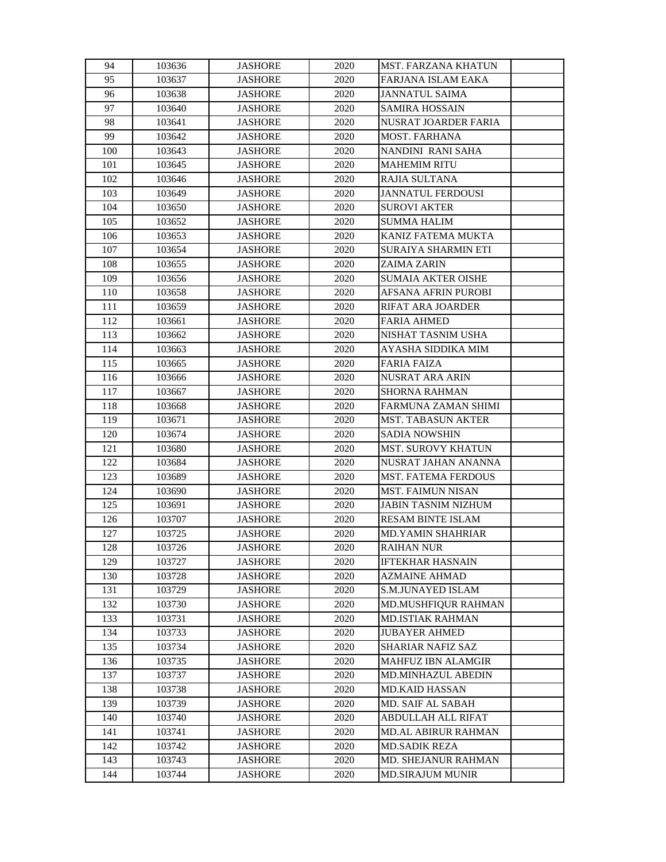| 94  | 103636 | <b>JASHORE</b> | 2020 | MST. FARZANA KHATUN        |  |
|-----|--------|----------------|------|----------------------------|--|
| 95  | 103637 | <b>JASHORE</b> | 2020 | FARJANA ISLAM EAKA         |  |
| 96  | 103638 | <b>JASHORE</b> | 2020 | <b>JANNATUL SAIMA</b>      |  |
| 97  | 103640 | <b>JASHORE</b> | 2020 | <b>SAMIRA HOSSAIN</b>      |  |
| 98  | 103641 | <b>JASHORE</b> | 2020 | NUSRAT JOARDER FARIA       |  |
| 99  | 103642 | <b>JASHORE</b> | 2020 | <b>MOST. FARHANA</b>       |  |
| 100 | 103643 | <b>JASHORE</b> | 2020 | NANDINI RANI SAHA          |  |
| 101 | 103645 | <b>JASHORE</b> | 2020 | <b>MAHEMIM RITU</b>        |  |
| 102 | 103646 | <b>JASHORE</b> | 2020 | RAJIA SULTANA              |  |
| 103 | 103649 | <b>JASHORE</b> | 2020 | <b>JANNATUL FERDOUSI</b>   |  |
| 104 | 103650 | <b>JASHORE</b> | 2020 | <b>SUROVI AKTER</b>        |  |
| 105 | 103652 | <b>JASHORE</b> | 2020 | <b>SUMMA HALIM</b>         |  |
| 106 | 103653 | <b>JASHORE</b> | 2020 | KANIZ FATEMA MUKTA         |  |
| 107 | 103654 | <b>JASHORE</b> | 2020 | SURAIYA SHARMIN ETI        |  |
| 108 | 103655 | <b>JASHORE</b> | 2020 | <b>ZAIMA ZARIN</b>         |  |
| 109 | 103656 | <b>JASHORE</b> | 2020 | <b>SUMAIA AKTER OISHE</b>  |  |
| 110 | 103658 | <b>JASHORE</b> | 2020 | <b>AFSANA AFRIN PUROBI</b> |  |
| 111 | 103659 | <b>JASHORE</b> | 2020 | RIFAT ARA JOARDER          |  |
| 112 | 103661 | JASHORE        | 2020 | <b>FARIA AHMED</b>         |  |
| 113 | 103662 | <b>JASHORE</b> | 2020 | NISHAT TASNIM USHA         |  |
| 114 | 103663 | <b>JASHORE</b> | 2020 | AYASHA SIDDIKA MIM         |  |
| 115 | 103665 | <b>JASHORE</b> | 2020 | <b>FARIA FAIZA</b>         |  |
| 116 | 103666 | <b>JASHORE</b> | 2020 | <b>NUSRAT ARA ARIN</b>     |  |
| 117 | 103667 | <b>JASHORE</b> | 2020 | <b>SHORNA RAHMAN</b>       |  |
| 118 | 103668 | <b>JASHORE</b> | 2020 | FARMUNA ZAMAN SHIMI        |  |
| 119 | 103671 | <b>JASHORE</b> | 2020 | <b>MST. TABASUN AKTER</b>  |  |
| 120 | 103674 | <b>JASHORE</b> | 2020 | <b>SADIA NOWSHIN</b>       |  |
| 121 | 103680 | JASHORE        | 2020 | <b>MST. SUROVY KHATUN</b>  |  |
| 122 | 103684 | <b>JASHORE</b> | 2020 | NUSRAT JAHAN ANANNA        |  |
| 123 | 103689 | <b>JASHORE</b> | 2020 | MST. FATEMA FERDOUS        |  |
| 124 | 103690 | <b>JASHORE</b> | 2020 | <b>MST. FAIMUN NISAN</b>   |  |
| 125 | 103691 | <b>JASHORE</b> | 2020 | <b>JABIN TASNIM NIZHUM</b> |  |
| 126 | 103707 | <b>JASHORE</b> | 2020 | <b>RESAM BINTE ISLAM</b>   |  |
| 127 | 103725 | <b>JASHORE</b> | 2020 | <b>MD.YAMIN SHAHRIAR</b>   |  |
| 128 | 103726 | <b>JASHORE</b> | 2020 | <b>RAIHAN NUR</b>          |  |
| 129 | 103727 | <b>JASHORE</b> | 2020 | <b>IFTEKHAR HASNAIN</b>    |  |
| 130 | 103728 | <b>JASHORE</b> | 2020 | <b>AZMAINE AHMAD</b>       |  |
| 131 | 103729 | <b>JASHORE</b> | 2020 | <b>S.M.JUNAYED ISLAM</b>   |  |
| 132 | 103730 | <b>JASHORE</b> | 2020 | MD.MUSHFIQUR RAHMAN        |  |
| 133 | 103731 | <b>JASHORE</b> | 2020 | <b>MD.ISTIAK RAHMAN</b>    |  |
| 134 | 103733 | <b>JASHORE</b> | 2020 | <b>JUBAYER AHMED</b>       |  |
| 135 | 103734 | <b>JASHORE</b> | 2020 | SHARIAR NAFIZ SAZ          |  |
| 136 | 103735 | JASHORE        | 2020 | <b>MAHFUZ IBN ALAMGIR</b>  |  |
| 137 | 103737 | <b>JASHORE</b> | 2020 | MD.MINHAZUL ABEDIN         |  |
| 138 | 103738 | <b>JASHORE</b> | 2020 | <b>MD.KAID HASSAN</b>      |  |
| 139 | 103739 | JASHORE        | 2020 | MD. SAIF AL SABAH          |  |
| 140 | 103740 | JASHORE        | 2020 | ABDULLAH ALL RIFAT         |  |
| 141 | 103741 | JASHORE        | 2020 | <b>MD.AL ABIRUR RAHMAN</b> |  |
| 142 | 103742 | <b>JASHORE</b> | 2020 | <b>MD.SADIK REZA</b>       |  |
| 143 | 103743 | <b>JASHORE</b> | 2020 | MD. SHEJANUR RAHMAN        |  |
| 144 | 103744 | <b>JASHORE</b> | 2020 | <b>MD.SIRAJUM MUNIR</b>    |  |
|     |        |                |      |                            |  |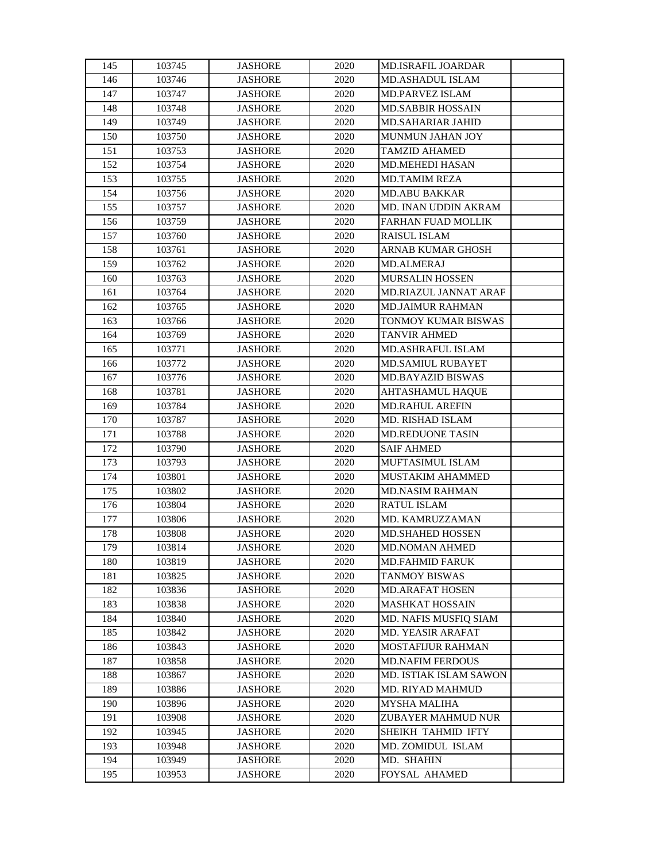| 145        | 103745           | <b>JASHORE</b>                   | 2020         | <b>MD.ISRAFIL JOARDAR</b>                  |  |
|------------|------------------|----------------------------------|--------------|--------------------------------------------|--|
| 146        | 103746           | <b>JASHORE</b>                   | 2020         | <b>MD.ASHADUL ISLAM</b>                    |  |
| 147        | 103747           | <b>JASHORE</b>                   | 2020         | <b>MD.PARVEZ ISLAM</b>                     |  |
| 148        | 103748           | <b>JASHORE</b>                   | 2020         | <b>MD.SABBIR HOSSAIN</b>                   |  |
| 149        | 103749           | <b>JASHORE</b>                   | 2020         | MD.SAHARIAR JAHID                          |  |
| 150        | 103750           | <b>JASHORE</b>                   | 2020         | MUNMUN JAHAN JOY                           |  |
| 151        | 103753           | <b>JASHORE</b>                   | 2020         | <b>TAMZID AHAMED</b>                       |  |
| 152        | 103754           | <b>JASHORE</b>                   | 2020         | MD.MEHEDI HASAN                            |  |
| 153        | 103755           | <b>JASHORE</b>                   | 2020         | <b>MD.TAMIM REZA</b>                       |  |
| 154        | 103756           | <b>JASHORE</b>                   | 2020         | <b>MD.ABU BAKKAR</b>                       |  |
| 155        | 103757           | <b>JASHORE</b>                   | 2020         | MD. INAN UDDIN AKRAM                       |  |
| 156        | 103759           | <b>JASHORE</b>                   | 2020         | FARHAN FUAD MOLLIK                         |  |
| 157        | 103760           | <b>JASHORE</b>                   | 2020         | RAISUL ISLAM                               |  |
| 158        | 103761           | <b>JASHORE</b>                   | 2020         | <b>ARNAB KUMAR GHOSH</b>                   |  |
| 159        | 103762           | <b>JASHORE</b>                   | 2020         | <b>MD.ALMERAJ</b>                          |  |
| 160        | 103763           | <b>JASHORE</b>                   | 2020         | <b>MURSALIN HOSSEN</b>                     |  |
| 161        | 103764           | <b>JASHORE</b>                   | 2020         | <b>MD.RIAZUL JANNAT ARAF</b>               |  |
| 162        | 103765           | <b>JASHORE</b>                   | 2020         | <b>MD.JAIMUR RAHMAN</b>                    |  |
| 163        | 103766           | <b>JASHORE</b>                   | 2020         | TONMOY KUMAR BISWAS                        |  |
| 164        | 103769           | <b>JASHORE</b>                   | 2020         | <b>TANVIR AHMED</b>                        |  |
| 165        | 103771           | <b>JASHORE</b>                   | 2020         | MD.ASHRAFUL ISLAM                          |  |
| 166        | 103772           | <b>JASHORE</b>                   | 2020         | <b>MD.SAMIUL RUBAYET</b>                   |  |
| 167        | 103776           | <b>JASHORE</b>                   | 2020         | <b>MD.BAYAZID BISWAS</b>                   |  |
| 168        | 103781           | <b>JASHORE</b>                   | 2020         | AHTASHAMUL HAQUE                           |  |
| 169        | 103784           | <b>JASHORE</b>                   | 2020         | <b>MD.RAHUL AREFIN</b>                     |  |
| 170        | 103787           | <b>JASHORE</b>                   | 2020         | MD. RISHAD ISLAM                           |  |
| 171        | 103788           | <b>JASHORE</b>                   | 2020         | MD.REDUONE TASIN                           |  |
| 172        | 103790           | <b>JASHORE</b>                   | 2020         | <b>SAIF AHMED</b>                          |  |
| 173        | 103793           | <b>JASHORE</b>                   | 2020         | MUFTASIMUL ISLAM                           |  |
| 174        | 103801           | <b>JASHORE</b>                   | 2020         | MUSTAKIM AHAMMED                           |  |
| 175        | 103802           | <b>JASHORE</b>                   | 2020         | <b>MD.NASIM RAHMAN</b>                     |  |
| 176        | 103804           | <b>JASHORE</b>                   | 2020         | RATUL ISLAM                                |  |
| 177        | 103806           | <b>JASHORE</b>                   | 2020         | MD. KAMRUZZAMAN                            |  |
| 178        | 103808           | <b>JASHORE</b>                   | 2020         | <b>MD.SHAHED HOSSEN</b>                    |  |
| 179        | 103814           | <b>JASHORE</b>                   | 2020         | MD.NOMAN AHMED                             |  |
| 180        | 103819           | <b>JASHORE</b>                   | 2020         | <b>MD.FAHMID FARUK</b>                     |  |
| 181        | 103825           | <b>JASHORE</b>                   | 2020         | <b>TANMOY BISWAS</b>                       |  |
| 182        | 103836           | <b>JASHORE</b>                   | 2020         | MD.ARAFAT HOSEN                            |  |
| 183        | 103838           | <b>JASHORE</b>                   | 2020         | <b>MASHKAT HOSSAIN</b>                     |  |
| 184        | 103840           | <b>JASHORE</b>                   | 2020         | MD. NAFIS MUSFIQ SIAM                      |  |
| 185        |                  | <b>JASHORE</b>                   | 2020         | MD. YEASIR ARAFAT                          |  |
| 186        | 103842<br>103843 | <b>JASHORE</b>                   | 2020         | <b>MOSTAFIJUR RAHMAN</b>                   |  |
| 187        | 103858           | JASHORE                          | 2020         | <b>MD.NAFIM FERDOUS</b>                    |  |
|            |                  |                                  |              |                                            |  |
| 188<br>189 | 103867<br>103886 | <b>JASHORE</b><br><b>JASHORE</b> | 2020<br>2020 | MD. ISTIAK ISLAM SAWON<br>MD. RIYAD MAHMUD |  |
| 190        | 103896           |                                  | 2020         |                                            |  |
| 191        | 103908           | JASHORE                          | 2020         | MYSHA MALIHA<br>ZUBAYER MAHMUD NUR         |  |
|            |                  | JASHORE                          |              | SHEIKH TAHMID IFTY                         |  |
| 192        | 103945           | <b>JASHORE</b>                   | 2020         |                                            |  |
| 193        | 103948           | <b>JASHORE</b>                   | 2020         | MD. ZOMIDUL ISLAM<br>MD. SHAHIN            |  |
| 194        | 103949           | <b>JASHORE</b>                   | 2020         |                                            |  |
| 195        | 103953           | <b>JASHORE</b>                   | 2020         | FOYSAL AHAMED                              |  |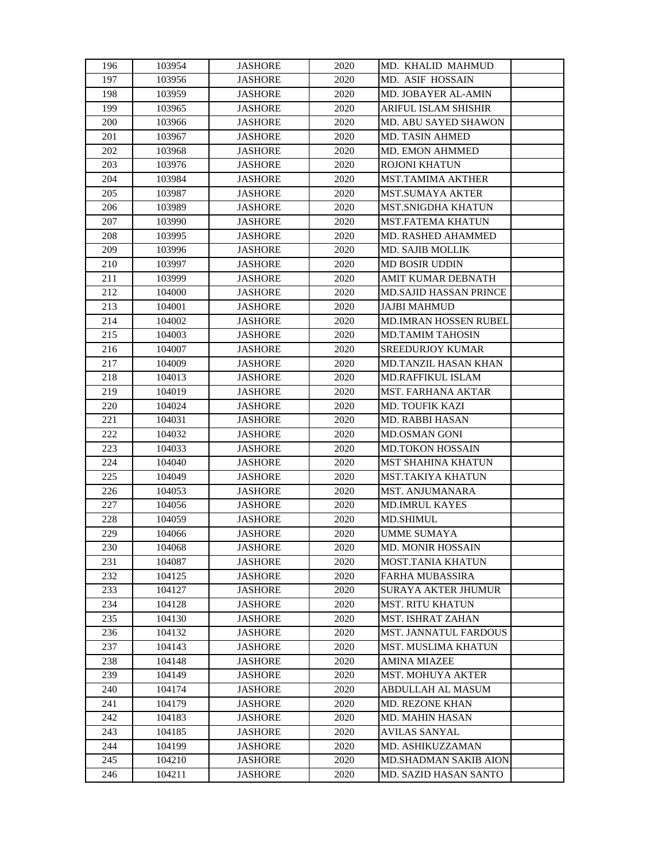| 196 | 103954 | <b>JASHORE</b> | 2020 | MD. KHALID MAHMUD             |  |
|-----|--------|----------------|------|-------------------------------|--|
| 197 | 103956 | <b>JASHORE</b> | 2020 | MD. ASIF HOSSAIN              |  |
| 198 | 103959 | <b>JASHORE</b> | 2020 | MD. JOBAYER AL-AMIN           |  |
| 199 | 103965 | <b>JASHORE</b> | 2020 | ARIFUL ISLAM SHISHIR          |  |
| 200 | 103966 | <b>JASHORE</b> | 2020 | MD. ABU SAYED SHAWON          |  |
| 201 | 103967 | <b>JASHORE</b> | 2020 | MD. TASIN AHMED               |  |
| 202 | 103968 | <b>JASHORE</b> | 2020 | <b>MD. EMON AHMMED</b>        |  |
| 203 | 103976 | <b>JASHORE</b> | 2020 | ROJONI KHATUN                 |  |
| 204 | 103984 | <b>JASHORE</b> | 2020 | <b>MST.TAMIMA AKTHER</b>      |  |
| 205 | 103987 | <b>JASHORE</b> | 2020 | <b>MST.SUMAYA AKTER</b>       |  |
| 206 | 103989 | <b>JASHORE</b> | 2020 | MST.SNIGDHA KHATUN            |  |
| 207 | 103990 | <b>JASHORE</b> | 2020 | <b>MST.FATEMA KHATUN</b>      |  |
| 208 | 103995 | <b>JASHORE</b> | 2020 | MD. RASHED AHAMMED            |  |
| 209 | 103996 | <b>JASHORE</b> | 2020 | <b>MD. SAJIB MOLLIK</b>       |  |
| 210 | 103997 | <b>JASHORE</b> | 2020 | <b>MD BOSIR UDDIN</b>         |  |
| 211 | 103999 | <b>JASHORE</b> | 2020 | AMIT KUMAR DEBNATH            |  |
| 212 | 104000 | <b>JASHORE</b> | 2020 | <b>MD.SAJID HASSAN PRINCE</b> |  |
| 213 | 104001 | <b>JASHORE</b> | 2020 | <b>JAJBI MAHMUD</b>           |  |
| 214 | 104002 | <b>JASHORE</b> | 2020 | <b>MD.IMRAN HOSSEN RUBEL</b>  |  |
| 215 | 104003 | <b>JASHORE</b> | 2020 | <b>MD.TAMIM TAHOSIN</b>       |  |
| 216 | 104007 | <b>JASHORE</b> | 2020 | <b>SREEDURJOY KUMAR</b>       |  |
| 217 | 104009 | <b>JASHORE</b> | 2020 | <b>MD.TANZIL HASAN KHAN</b>   |  |
| 218 | 104013 | <b>JASHORE</b> | 2020 | MD.RAFFIKUL ISLAM             |  |
| 219 | 104019 | <b>JASHORE</b> | 2020 | MST. FARHANA AKTAR            |  |
| 220 | 104024 | <b>JASHORE</b> | 2020 | <b>MD. TOUFIK KAZI</b>        |  |
| 221 | 104031 | <b>JASHORE</b> | 2020 | MD. RABBI HASAN               |  |
| 222 | 104032 | <b>JASHORE</b> | 2020 | MD.OSMAN GONI                 |  |
| 223 | 104033 | <b>JASHORE</b> | 2020 | <b>MD.TOKON HOSSAIN</b>       |  |
| 224 | 104040 | <b>JASHORE</b> | 2020 | <b>MST SHAHINA KHATUN</b>     |  |
| 225 | 104049 | <b>JASHORE</b> | 2020 | MST.TAKIYA KHATUN             |  |
| 226 | 104053 | <b>JASHORE</b> | 2020 | <b>MST. ANJUMANARA</b>        |  |
| 227 | 104056 | <b>JASHORE</b> | 2020 | <b>MD.IMRUL KAYES</b>         |  |
| 228 | 104059 | <b>JASHORE</b> | 2020 | <b>MD.SHIMUL</b>              |  |
| 229 | 104066 | <b>JASHORE</b> | 2020 | <b>UMME SUMAYA</b>            |  |
| 230 | 104068 | <b>JASHORE</b> | 2020 | <b>MD. MONIR HOSSAIN</b>      |  |
| 231 | 104087 | <b>JASHORE</b> | 2020 | MOST.TANIA KHATUN             |  |
| 232 | 104125 | <b>JASHORE</b> | 2020 | <b>FARHA MUBASSIRA</b>        |  |
| 233 | 104127 | <b>JASHORE</b> | 2020 | <b>SURAYA AKTER JHUMUR</b>    |  |
| 234 | 104128 | <b>JASHORE</b> | 2020 | <b>MST. RITU KHATUN</b>       |  |
| 235 | 104130 | <b>JASHORE</b> | 2020 | <b>MST. ISHRAT ZAHAN</b>      |  |
| 236 | 104132 | <b>JASHORE</b> | 2020 | <b>MST. JANNATUL FARDOUS</b>  |  |
| 237 | 104143 | JASHORE        | 2020 | MST. MUSLIMA KHATUN           |  |
| 238 | 104148 | <b>JASHORE</b> | 2020 | <b>AMINA MIAZEE</b>           |  |
| 239 | 104149 | <b>JASHORE</b> | 2020 | <b>MST. MOHUYA AKTER</b>      |  |
| 240 | 104174 | <b>JASHORE</b> | 2020 | ABDULLAH AL MASUM             |  |
| 241 | 104179 | JASHORE        | 2020 | <b>MD. REZONE KHAN</b>        |  |
| 242 | 104183 | <b>JASHORE</b> | 2020 | MD. MAHIN HASAN               |  |
| 243 | 104185 | <b>JASHORE</b> | 2020 | AVILAS SANYAL                 |  |
| 244 | 104199 | <b>JASHORE</b> | 2020 | MD. ASHIKUZZAMAN              |  |
| 245 | 104210 | <b>JASHORE</b> | 2020 | MD.SHADMAN SAKIB AION         |  |
| 246 | 104211 | <b>JASHORE</b> | 2020 | <b>MD. SAZID HASAN SANTO</b>  |  |
|     |        |                |      |                               |  |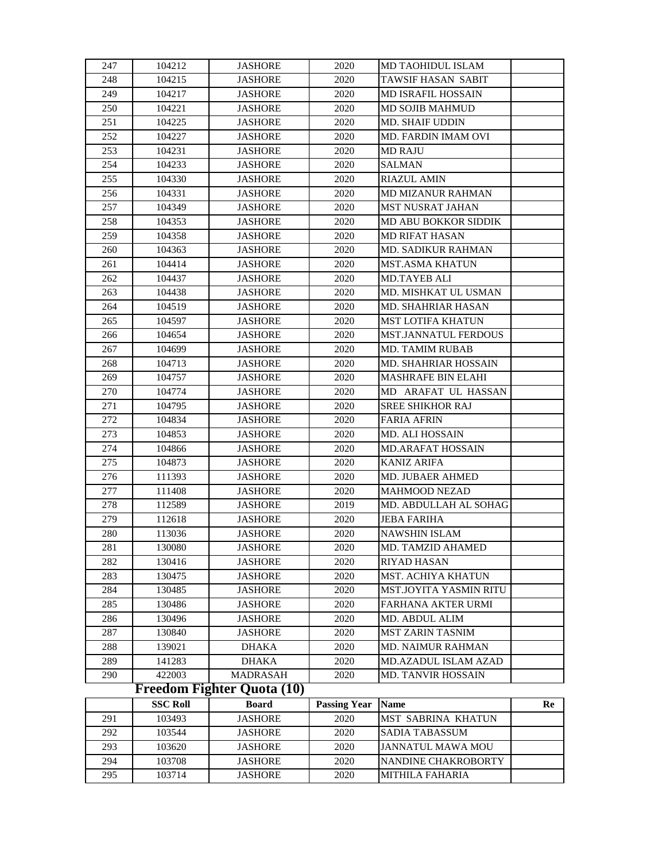| 247 | 104212          | <b>JASHORE</b>             | 2020                | MD TAOHIDUL ISLAM           |    |
|-----|-----------------|----------------------------|---------------------|-----------------------------|----|
| 248 | 104215          | <b>JASHORE</b>             | 2020                | TAWSIF HASAN SABIT          |    |
| 249 | 104217          | <b>JASHORE</b>             | 2020                | <b>MD ISRAFIL HOSSAIN</b>   |    |
| 250 | 104221          | <b>JASHORE</b>             | 2020                | MD SOJIB MAHMUD             |    |
| 251 | 104225          | <b>JASHORE</b>             | 2020                | MD. SHAIF UDDIN             |    |
| 252 | 104227          | <b>JASHORE</b>             | 2020                | MD. FARDIN IMAM OVI         |    |
| 253 | 104231          | <b>JASHORE</b>             | 2020                | <b>MD RAJU</b>              |    |
| 254 | 104233          | <b>JASHORE</b>             | 2020                | <b>SALMAN</b>               |    |
| 255 | 104330          | <b>JASHORE</b>             | 2020                | <b>RIAZUL AMIN</b>          |    |
| 256 | 104331          | <b>JASHORE</b>             | 2020                | MD MIZANUR RAHMAN           |    |
| 257 | 104349          | <b>JASHORE</b>             | 2020                | MST NUSRAT JAHAN            |    |
| 258 | 104353          | <b>JASHORE</b>             | 2020                | <b>MD ABU BOKKOR SIDDIK</b> |    |
| 259 | 104358          | <b>JASHORE</b>             | 2020                | <b>MD RIFAT HASAN</b>       |    |
| 260 | 104363          | <b>JASHORE</b>             | 2020                | MD. SADIKUR RAHMAN          |    |
| 261 | 104414          | <b>JASHORE</b>             | 2020                | <b>MST.ASMA KHATUN</b>      |    |
| 262 | 104437          | <b>JASHORE</b>             | 2020                | <b>MD.TAYEB ALI</b>         |    |
| 263 | 104438          | <b>JASHORE</b>             | 2020                | MD. MISHKAT UL USMAN        |    |
| 264 | 104519          | <b>JASHORE</b>             | 2020                | MD. SHAHRIAR HASAN          |    |
| 265 | 104597          | <b>JASHORE</b>             | 2020                | <b>MST LOTIFA KHATUN</b>    |    |
| 266 | 104654          | <b>JASHORE</b>             | 2020                | <b>MST.JANNATUL FERDOUS</b> |    |
| 267 | 104699          | JASHORE                    | 2020                | <b>MD. TAMIM RUBAB</b>      |    |
| 268 | 104713          | <b>JASHORE</b>             | 2020                | <b>MD. SHAHRIAR HOSSAIN</b> |    |
| 269 | 104757          | <b>JASHORE</b>             | 2020                | <b>MASHRAFE BIN ELAHI</b>   |    |
| 270 | 104774          | <b>JASHORE</b>             | 2020                | MD ARAFAT UL HASSAN         |    |
| 271 | 104795          | <b>JASHORE</b>             | 2020                | <b>SREE SHIKHOR RAJ</b>     |    |
| 272 | 104834          | <b>JASHORE</b>             | 2020                | <b>FARIA AFRIN</b>          |    |
| 273 | 104853          | <b>JASHORE</b>             | 2020                | MD. ALI HOSSAIN             |    |
| 274 | 104866          | <b>JASHORE</b>             | 2020                | MD.ARAFAT HOSSAIN           |    |
| 275 | 104873          | JASHORE                    | 2020                | <b>KANIZ ARIFA</b>          |    |
| 276 | 111393          | <b>JASHORE</b>             | 2020                | MD. JUBAER AHMED            |    |
| 277 | 111408          | <b>JASHORE</b>             | 2020                | MAHMOOD NEZAD               |    |
| 278 | 112589          | <b>JASHORE</b>             | 2019                | MD. ABDULLAH AL SOHAG       |    |
| 279 | 112618          | <b>JASHORE</b>             | 2020                | <b>JEBA FARIHA</b>          |    |
| 280 | 113036          | <b>JASHORE</b>             | 2020                | <b>NAWSHIN ISLAM</b>        |    |
| 281 | 130080          | <b>JASHORE</b>             | 2020                | MD. TAMZID AHAMED           |    |
| 282 | 130416          | JASHORE                    | 2020                | <b>RIYAD HASAN</b>          |    |
| 283 | 130475          | JASHORE                    | 2020                | MST. ACHIYA KHATUN          |    |
| 284 | 130485          | <b>JASHORE</b>             | 2020                | MST.JOYITA YASMIN RITU      |    |
| 285 | 130486          | <b>JASHORE</b>             | 2020                | FARHANA AKTER URMI          |    |
| 286 | 130496          | <b>JASHORE</b>             | 2020                | MD. ABDUL ALIM              |    |
| 287 | 130840          | <b>JASHORE</b>             | 2020                | <b>MST ZARIN TASNIM</b>     |    |
| 288 | 139021          | <b>DHAKA</b>               | 2020                | MD. NAIMUR RAHMAN           |    |
| 289 | 141283          | <b>DHAKA</b>               | 2020                | MD.AZADUL ISLAM AZAD        |    |
| 290 | 422003          | MADRASAH                   | 2020                | <b>MD. TANVIR HOSSAIN</b>   |    |
|     |                 | Freedom Fighter Quota (10) |                     |                             |    |
|     | <b>SSC Roll</b> | <b>Board</b>               | <b>Passing Year</b> | <b>Name</b>                 | Re |
| 291 | 103493          | <b>JASHORE</b>             | 2020                | MST SABRINA KHATUN          |    |
| 292 | 103544          | <b>JASHORE</b>             | 2020                | SADIA TABASSUM              |    |
| 293 | 103620          | <b>JASHORE</b>             | 2020                | JANNATUL MAWA MOU           |    |
| 294 | 103708          | <b>JASHORE</b>             | 2020                | NANDINE CHAKROBORTY         |    |
| 295 | 103714          | <b>JASHORE</b>             | 2020                | MITHILA FAHARIA             |    |